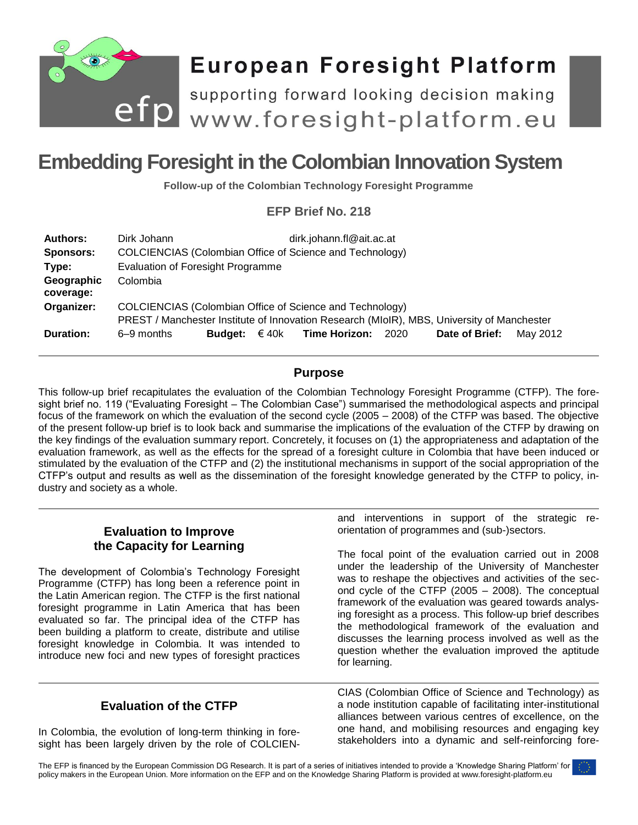

# **European Foresight Platform**

efp supporting forward looking decision making<br>efp www.foresight-platform.eu

# **Embedding Foresight in the Colombian Innovation System**

**Follow-up of the Colombian Technology Foresight Programme**

# **EFP Brief No. 218**

| <b>Authors:</b><br><b>Sponsors:</b> | Dirk Johann<br>COLCIENCIAS (Colombian Office of Science and Technology)                                                                                | dirk.johann.fl@ait.ac.at                       |                |          |
|-------------------------------------|--------------------------------------------------------------------------------------------------------------------------------------------------------|------------------------------------------------|----------------|----------|
| Type:                               | Evaluation of Foresight Programme                                                                                                                      |                                                |                |          |
| Geographic<br>coverage:             | Colombia                                                                                                                                               |                                                |                |          |
| Organizer:                          | COLCIENCIAS (Colombian Office of Science and Technology)<br>PREST / Manchester Institute of Innovation Research (MIoIR), MBS, University of Manchester |                                                |                |          |
| Duration:                           | 6–9 months                                                                                                                                             | <b>Budget:</b> $\in$ 40k Time Horizon:<br>2020 | Date of Brief: | May 2012 |

# **Purpose**

This follow-up brief recapitulates the evaluation of the Colombian Technology Foresight Programme (CTFP). The foresight brief no. 119 ("Evaluating Foresight – The Colombian Case") summarised the methodological aspects and principal focus of the framework on which the evaluation of the second cycle (2005 – 2008) of the CTFP was based. The objective of the present follow-up brief is to look back and summarise the implications of the evaluation of the CTFP by drawing on the key findings of the evaluation summary report. Concretely, it focuses on (1) the appropriateness and adaptation of the evaluation framework, as well as the effects for the spread of a foresight culture in Colombia that have been induced or stimulated by the evaluation of the CTFP and (2) the institutional mechanisms in support of the social appropriation of the CTFP's output and results as well as the dissemination of the foresight knowledge generated by the CTFP to policy, industry and society as a whole.

# **Evaluation to Improve the Capacity for Learning**

The development of Colombia's Technology Foresight Programme (CTFP) has long been a reference point in the Latin American region. The CTFP is the first national foresight programme in Latin America that has been evaluated so far. The principal idea of the CTFP has been building a platform to create, distribute and utilise foresight knowledge in Colombia. It was intended to introduce new foci and new types of foresight practices

# **Evaluation of the CTFP**

In Colombia, the evolution of long-term thinking in foresight has been largely driven by the role of COLCIEN- and interventions in support of the strategic reorientation of programmes and (sub-)sectors.

The focal point of the evaluation carried out in 2008 under the leadership of the University of Manchester was to reshape the objectives and activities of the second cycle of the CTFP (2005 – 2008). The conceptual framework of the evaluation was geared towards analysing foresight as a process. This follow-up brief describes the methodological framework of the evaluation and discusses the learning process involved as well as the question whether the evaluation improved the aptitude for learning.

CIAS (Colombian Office of Science and Technology) as a node institution capable of facilitating inter-institutional alliances between various centres of excellence, on the one hand, and mobilising resources and engaging key stakeholders into a dynamic and self-reinforcing fore-

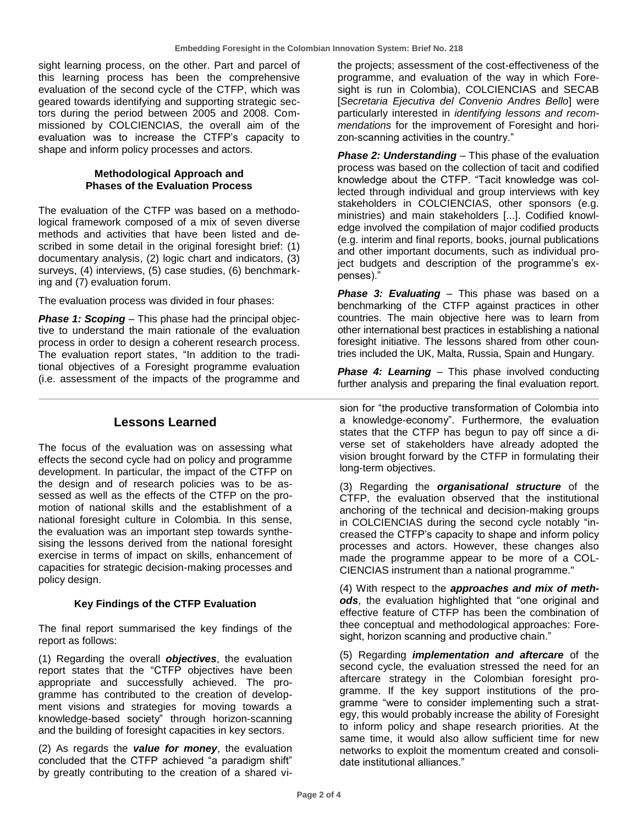sight learning process, on the other. Part and parcel of this learning process has been the comprehensive evaluation of the second cycle of the CTFP, which was geared towards identifying and supporting strategic sectors during the period between 2005 and 2008. Commissioned by COLCIENCIAS, the overall aim of the evaluation was to increase the CTFP's capacity to shape and inform policy processes and actors.

#### **Methodological Approach and Phases of the Evaluation Process**

The evaluation of the CTFP was based on a methodological framework composed of a mix of seven diverse methods and activities that have been listed and described in some detail in the original foresight brief: (1) documentary analysis, (2) logic chart and indicators, (3) surveys, (4) interviews, (5) case studies, (6) benchmarking and (7) evaluation forum.

The evaluation process was divided in four phases:

*Phase 1: Scoping* – This phase had the principal objective to understand the main rationale of the evaluation process in order to design a coherent research process. The evaluation report states, "In addition to the traditional objectives of a Foresight programme evaluation (i.e. assessment of the impacts of the programme and

#### **Lessons Learned**

The focus of the evaluation was on assessing what effects the second cycle had on policy and programme development. In particular, the impact of the CTFP on the design and of research policies was to be assessed as well as the effects of the CTFP on the promotion of national skills and the establishment of a national foresight culture in Colombia. In this sense, the evaluation was an important step towards synthesising the lessons derived from the national foresight exercise in terms of impact on skills, enhancement of capacities for strategic decision-making processes and policy design.

#### **Key Findings of the CTFP Evaluation**

The final report summarised the key findings of the report as follows:

(1) Regarding the overall *objectives*, the evaluation report states that the "CTFP objectives have been appropriate and successfully achieved. The programme has contributed to the creation of development visions and strategies for moving towards a knowledge-based society" through horizon-scanning and the building of foresight capacities in key sectors.

(2) As regards the *value for money*, the evaluation concluded that the CTFP achieved "a paradigm shift" by greatly contributing to the creation of a shared vithe projects; assessment of the cost-effectiveness of the programme, and evaluation of the way in which Foresight is run in Colombia), COLCIENCIAS and SECAB [*Secretaria Ejecutiva del Convenio Andres Bello*] were particularly interested in *identifying lessons and recommendations* for the improvement of Foresight and horizon-scanning activities in the country."

**Phase 2: Understanding** – This phase of the evaluation process was based on the collection of tacit and codified knowledge about the CTFP. "Tacit knowledge was collected through individual and group interviews with key stakeholders in COLCIENCIAS, other sponsors (e.g. ministries) and main stakeholders [...]. Codified knowledge involved the compilation of major codified products (e.g. interim and final reports, books, journal publications and other important documents, such as individual project budgets and description of the programme's expenses)."

*Phase 3: Evaluating* – This phase was based on a benchmarking of the CTFP against practices in other countries. The main objective here was to learn from other international best practices in establishing a national foresight initiative. The lessons shared from other countries included the UK, Malta, Russia, Spain and Hungary.

**Phase 4: Learning** – This phase involved conducting further analysis and preparing the final evaluation report.

sion for "the productive transformation of Colombia into a knowledge-economy". Furthermore, the evaluation states that the CTFP has begun to pay off since a diverse set of stakeholders have already adopted the vision brought forward by the CTFP in formulating their long-term objectives.

(3) Regarding the *organisational structure* of the CTFP, the evaluation observed that the institutional anchoring of the technical and decision-making groups in COLCIENCIAS during the second cycle notably "increased the CTFP's capacity to shape and inform policy processes and actors. However, these changes also made the programme appear to be more of a COL-CIENCIAS instrument than a national programme."

(4) With respect to the *approaches and mix of methods*, the evaluation highlighted that "one original and effective feature of CTFP has been the combination of thee conceptual and methodological approaches: Foresight, horizon scanning and productive chain."

(5) Regarding *implementation and aftercare* of the second cycle, the evaluation stressed the need for an aftercare strategy in the Colombian foresight programme. If the key support institutions of the programme "were to consider implementing such a strategy, this would probably increase the ability of Foresight to inform policy and shape research priorities. At the same time, it would also allow sufficient time for new networks to exploit the momentum created and consolidate institutional alliances."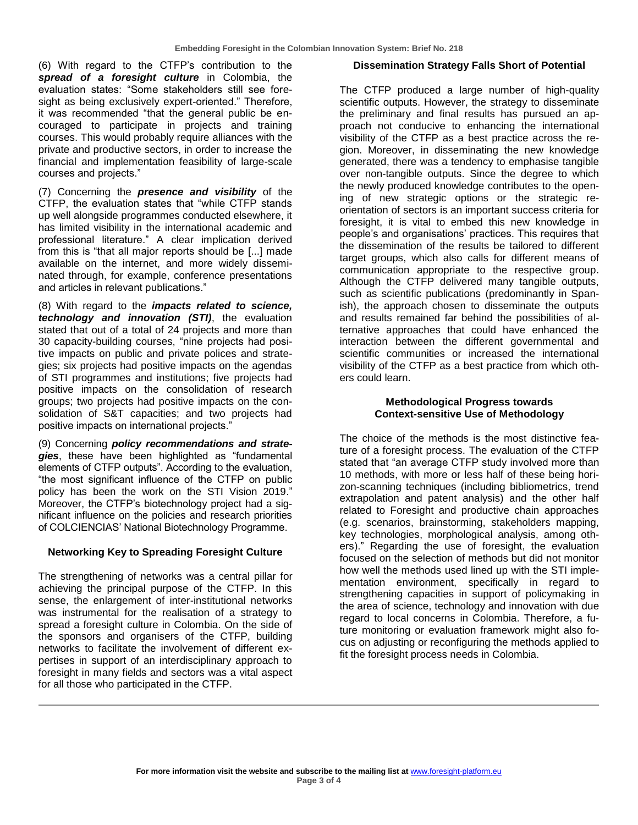(6) With regard to the CTFP's contribution to the *spread of a foresight culture* in Colombia, the evaluation states: "Some stakeholders still see foresight as being exclusively expert-oriented." Therefore, it was recommended "that the general public be encouraged to participate in projects and training courses. This would probably require alliances with the private and productive sectors, in order to increase the financial and implementation feasibility of large-scale courses and projects."

(7) Concerning the *presence and visibility* of the CTFP, the evaluation states that "while CTFP stands up well alongside programmes conducted elsewhere, it has limited visibility in the international academic and professional literature." A clear implication derived from this is "that all major reports should be [...] made available on the internet, and more widely disseminated through, for example, conference presentations and articles in relevant publications."

(8) With regard to the *impacts related to science, technology and innovation (STI)*, the evaluation stated that out of a total of 24 projects and more than 30 capacity-building courses, "nine projects had positive impacts on public and private polices and strategies; six projects had positive impacts on the agendas of STI programmes and institutions; five projects had positive impacts on the consolidation of research groups; two projects had positive impacts on the consolidation of S&T capacities; and two projects had positive impacts on international projects."

(9) Concerning *policy recommendations and strategies*, these have been highlighted as "fundamental elements of CTFP outputs". According to the evaluation, "the most significant influence of the CTFP on public policy has been the work on the STI Vision 2019." Moreover, the CTFP's biotechnology project had a significant influence on the policies and research priorities of COLCIENCIAS' National Biotechnology Programme.

#### **Networking Key to Spreading Foresight Culture**

The strengthening of networks was a central pillar for achieving the principal purpose of the CTFP. In this sense, the enlargement of inter-institutional networks was instrumental for the realisation of a strategy to spread a foresight culture in Colombia. On the side of the sponsors and organisers of the CTFP, building networks to facilitate the involvement of different expertises in support of an interdisciplinary approach to foresight in many fields and sectors was a vital aspect for all those who participated in the CTFP.

#### **Dissemination Strategy Falls Short of Potential**

The CTFP produced a large number of high-quality scientific outputs. However, the strategy to disseminate the preliminary and final results has pursued an approach not conducive to enhancing the international visibility of the CTFP as a best practice across the region. Moreover, in disseminating the new knowledge generated, there was a tendency to emphasise tangible over non-tangible outputs. Since the degree to which the newly produced knowledge contributes to the opening of new strategic options or the strategic reorientation of sectors is an important success criteria for foresight, it is vital to embed this new knowledge in people's and organisations' practices. This requires that the dissemination of the results be tailored to different target groups, which also calls for different means of communication appropriate to the respective group. Although the CTFP delivered many tangible outputs, such as scientific publications (predominantly in Spanish), the approach chosen to disseminate the outputs and results remained far behind the possibilities of alternative approaches that could have enhanced the interaction between the different governmental and scientific communities or increased the international visibility of the CTFP as a best practice from which others could learn.

#### **Methodological Progress towards Context-sensitive Use of Methodology**

The choice of the methods is the most distinctive feature of a foresight process. The evaluation of the CTFP stated that "an average CTFP study involved more than 10 methods, with more or less half of these being horizon-scanning techniques (including bibliometrics, trend extrapolation and patent analysis) and the other half related to Foresight and productive chain approaches (e.g. scenarios, brainstorming, stakeholders mapping, key technologies, morphological analysis, among others)." Regarding the use of foresight, the evaluation focused on the selection of methods but did not monitor how well the methods used lined up with the STI implementation environment, specifically in regard to strengthening capacities in support of policymaking in the area of science, technology and innovation with due regard to local concerns in Colombia. Therefore, a future monitoring or evaluation framework might also focus on adjusting or reconfiguring the methods applied to fit the foresight process needs in Colombia.